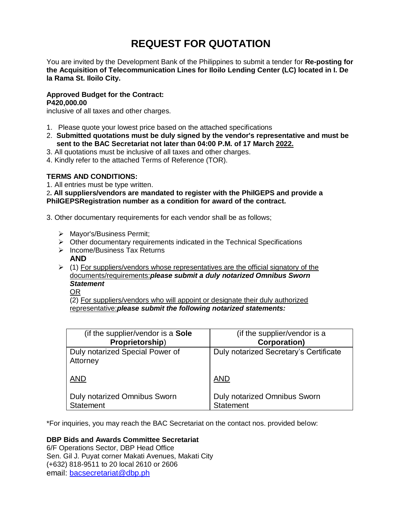# **REQUEST FOR QUOTATION**

You are invited by the Development Bank of the Philippines to submit a tender for **Re-posting for the Acquisition of Telecommunication Lines for Iloilo Lending Center (LC) located in I. De la Rama St. Iloilo City.**

# **Approved Budget for the Contract: P420,000.00**

inclusive of all taxes and other charges.

- 1. Please quote your lowest price based on the attached specifications
- 2. **Submitted quotations must be duly signed by the vendor's representative and must be sent to the BAC Secretariat not later than 04:00 P.M. of 17 March 2022.**
- 3. All quotations must be inclusive of all taxes and other charges.
- 4. Kindly refer to the attached Terms of Reference (TOR).

# **TERMS AND CONDITIONS:**

1. All entries must be type written.

2**. All suppliers/vendors are mandated to register with the PhilGEPS and provide a PhilGEPSRegistration number as a condition for award of the contract.**

- 3. Other documentary requirements for each vendor shall be as follows;
	- > Mayor's/Business Permit;
	- $\triangleright$  Other documentary requirements indicated in the Technical Specifications
	- > Income/Business Tax Returns
		- **AND**
	- $\geq$  (1) For suppliers/vendors whose representatives are the official signatory of the documents/requirements:*please submit a duly notarized Omnibus Sworn Statement*
		- OR

(2) For suppliers/vendors who will appoint or designate their duly authorized representative:*please submit the following notarized statements:*

| (if the supplier/vendor is a Sole           | (if the supplier/vendor is a           |
|---------------------------------------------|----------------------------------------|
| Proprietorship)                             | <b>Corporation)</b>                    |
| Duly notarized Special Power of<br>Attorney | Duly notarized Secretary's Certificate |
| <b>AND</b>                                  | <b>AND</b>                             |
| <b>Duly notarized Omnibus Sworn</b>         | <b>Duly notarized Omnibus Sworn</b>    |
| <b>Statement</b>                            | <b>Statement</b>                       |

\*For inquiries, you may reach the BAC Secretariat on the contact nos. provided below:

# **DBP Bids and Awards Committee Secretariat**

6/F Operations Sector, DBP Head Office Sen. Gil J. Puyat corner Makati Avenues, Makati City (+632) 818-9511 to 20 local 2610 or 2606 email: [bacsecretariat@dbp.ph](mailto:bacsecretariat@dbp.ph)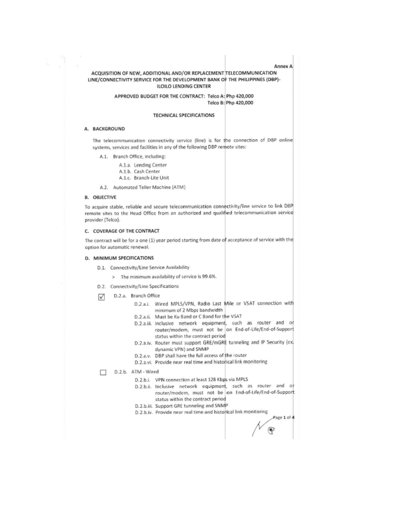## ACQUISITION OF NEW, ADDITIONAL AND/OR REPLACEMENT TELECOMMUNICATION LINE/CONNECTIVITY SERVICE FOR THE DEVELOPMENT BANK OF THE PHILIPPINES (DBP)-**ILOILO LENDING CENTER**

## APPROVED BUDGET FOR THE CONTRACT: Telco A: Php 420,000 Telco B: Php 420,000

#### **TECHNICAL SPECIFICATIONS**

#### A. BACKGROUND

The telecommunication connectivity service (line) is for the connection of DBP online systems, services and facilities in any of the following DBP remote sites:

- A.1. Branch Office, including:
	- A.1.a. Lending Center A.1.b. Cash Center
	- A.1.c. Branch-Lite Unit
- A.2. Automated Teller Machine (ATM)

# **B. OBJECTIVE**

To acquire stable, reliable and secure telecommunication connectivity/line service to link DBP remote sites to the Head Office from an authorized and qualified telecommunication service provider (Telco).

#### C. COVERAGE OF THE CONTRACT

The contract will be for a one (1) year period starting from date of acceptance of service with the option for automatic renewal.

#### D. MINIMUM SPECIFICATIONS

- D.1. Connectivity/Line Service Availability
	- > The minimum availability of service is 99.6%.
- D.2. Connectivity/Line Specifications
- D.2.a. Branch Office ☑
	- D.2.a.i. Wired MPLS/VPN, Radio Last Mile or VSAT connection with minimum of 2 Mbps bandwidth
	- D.2.a.ii. Must be Ku Band or C Band for the VSAT
	- D.2.a.iii. Inclusive network equipment, such as router and or router/modem, must not be on End-of-Life/End-of-Support status within the contract period
	- D.2.a.iv. Router must support GRE/mGRE tunneling and IP Security (ex. dynamic VPN) and SNMP
	- D.2.a.v. DBP shall have the full access of the router
	- D.2.a.vi. Provide near real time and historical link monitoring

D.2.b. ATM - Wired П

- D.2.b.i. VPN connection at least 128 Kbps via MPLS
- D.2.b.ii. Inclusive network equipment, such as router and or router/modem, must not be on End-of-Life/End-of-Support status within the contract period
- D.2.b.iii. Support GRE tunneling and SNMP
- D.2.b.iv. Provide near real time and historical link monitoring

Page 1 of 4 ஈ

**Annex A**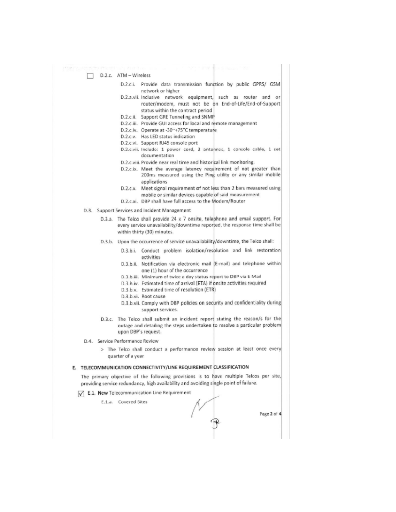D.2.c. ATM - Wireless

- D.2.c.i. Provide data transmission function by public GPRS/ GSM network or higher
- D.2.a.vii. Inclusive network equipment, such as router and or router/modem, must not be on End-of-Life/End-of-Support status within the contract period
- D.2.c.ii. Support GRE Tunneling and SNMP
- D.2.c.iii. Provide GUI access for local and remote management
- D.2.c.iv. Operate at -30~+75°C temperature
- D.2.c.v. Has LED status indication
- D.2.c.vi. Support RJ45 console port
- D.2.c.vii. Include: 1 power cord, 2 antennas, 1 console cable, 1 set documentation
- D.2.c.viii. Provide near real time and historical link monitoring.
- D.2.c.ix. Meet the average latency requirement of not greater than 200ms measured using the Ping utility or any similar mobile applications
- D.2.c.x. Meet signal requirement of not less than 2 bars measured using mobile or similar devices capable of said measurement
- D.2.c.xi. DBP shall have full access to the Modem/Router
- D.3. Support Services and Incident Management
	- D.3.a. The Telco shall provide 24 x 7 onsite, telephone and email support. For every service unavailability/downtime reported, the response time shall be within thirty (30) minutes.
	- D.3.b. Upon the occurrence of service unavailability/downtime, the Telco shall:
		- D.3.b.i. Conduct problem isolation/resolution and link restoration activities
		- D.3.b.ii. Notification via electronic mail [E-mail] and telephone within one (1) hour of the occurrence
		- D.3.b.iii. Minimum of twice a day status report to DBP via E Mail
		- D.3.b.iv. Estimated time of arrival (ETA) if onsite activities required
		- D.3.b.v. Estimated time of resolution (ETR)
		- D.3.b.vi. Root cause
		- D.3.b.vii. Comply with DBP policies on security and confidentiality during support services.
	- D.3.c. The Telco shall submit an incident report stating the reason/s for the outage and detailing the steps undertaken to resolve a particular problem upon DBP's request.
- D.4. Service Performance Review
	- > The Telco shall conduct a performance review session at least once every quarter of a year

## E. TELECOMMUNICATION CONNECTIVITY/LINE REQUIREMENT CLASSIFICATION

The primary objective of the following provisions is to have multiple Telcos per site, providing service redundancy, high availability and avoiding single point of failure.

# E.1. New Telecommunication Line Requirement

E.1.a. Covered Sites

Page 2 of 4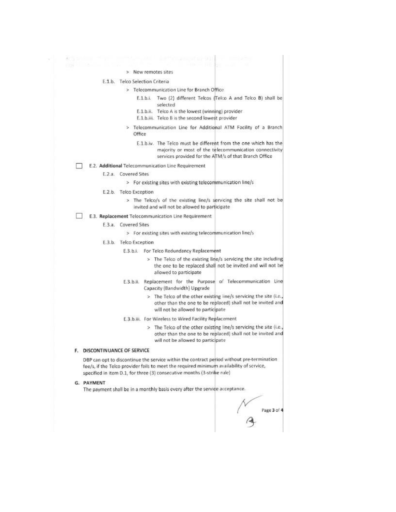| Angeles and the | A COMPOSITION CONTINUES IN THE RESERVE                                                                                                                                              |
|-----------------|-------------------------------------------------------------------------------------------------------------------------------------------------------------------------------------|
|                 | <b>If the secret in the secret in the secret in the secret in the secret in the secret</b>                                                                                          |
|                 | > New remotes sites                                                                                                                                                                 |
|                 | E.1.b. Telco Selection Criteria                                                                                                                                                     |
|                 | > Telecommunication Line for Branch Office                                                                                                                                          |
|                 | E.1.b.i. Two (2) different Telcos (Telco A and Telco B) shall be<br>selected                                                                                                        |
|                 | E.1.b.ii. Telco A is the lowest (winning) provider<br>E.1.b.iii. Telco B is the second lowest provider                                                                              |
|                 | > Telecommunication Line for Additional ATM Facility of a Branch<br>Office                                                                                                          |
|                 | E.1.b.iv. The Telco must be different from the one which has the<br>majority or most of the telecommunication connectivity<br>services provided for the ATM/s of that Branch Office |
|                 | E.2. Additional Telecommunication Line Requirement                                                                                                                                  |
|                 | <b>E.2.a.</b> Covered Sites                                                                                                                                                         |
|                 | > For existing sites with existing telecommunication line/s                                                                                                                         |
|                 | E.2.b. Telco Exception                                                                                                                                                              |
|                 | > The Telco/s of the existing line/s servicing the site shall not be<br>invited and will not be allowed to participate                                                              |
|                 | E.3. Replacement Telecommunication Line Requirement                                                                                                                                 |
|                 | E.3.a. Covered Sites                                                                                                                                                                |
|                 | > For existing sites with existing telecommunication line/s                                                                                                                         |
|                 | E.3.b. Telco Exception                                                                                                                                                              |
|                 | E.3.b.i. For Telco Redundancy Replacement                                                                                                                                           |
|                 | > The Telco of the existing line/s servicing the site including<br>the one to be replaced shall not be invited and will not be<br>allowed to participate                            |
|                 | E.3.b.ii. Replacement for the Purpose of Telecommunication Line                                                                                                                     |

- Capacity (Bandwidth) Upgrade
- > The Telco of the other existing line/s servicing the site (i.e., other than the one to be replaced) shall not be invited and will not be allowed to participate
- E.3.b.iii. For Wireless to Wired Facility Replacement
	- > The Telco of the other existing line/s servicing the site (i.e., other than the one to be replaced) shall not be invited and will not be allowed to participate

## F. DISCONTINUANCE OF SERVICE

DBP can opt to discontinue the service within the contract period without pre-termination fee/s, if the Telco provider fails to meet the required minimum availability of service, specified in item D.1, for three (3) consecutive months (3-strike rule)

#### G. PAYMENT

The payment shall be in a monthly basis every after the service acceptance.

Page 3 of 4